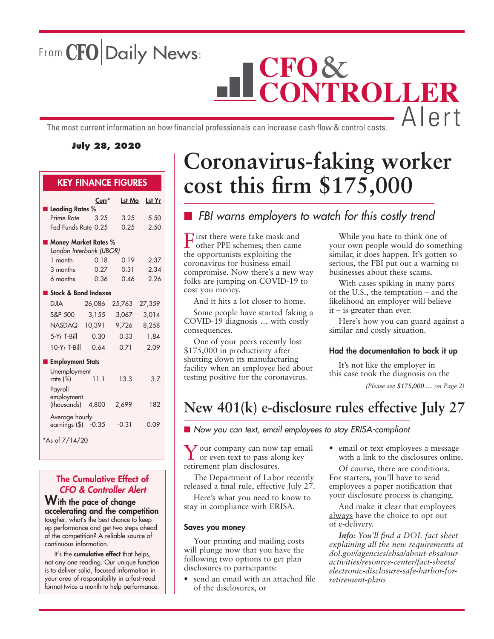From CFO Daily News:

# **CFO CONTROLLER** The most current information on how financial professionals can increase cash flow & control costs.  $\Box$   $\Box$   $\Box$

### **July 28, 2020**

### KEY FINANCE FIGURES

|                                 | Curr*             | <b>Lst Mo</b> | Lst Yr |
|---------------------------------|-------------------|---------------|--------|
| <b>Leading Rates %</b>          |                   |               |        |
| Prime Rate                      | 3.25              | 3.25          | 5.50   |
| Fed Funds Rate 0.25             |                   | 0.25          | 2.50   |
| <b>Money Market Rates %</b>     |                   |               |        |
| <u>London Interbank (LIBOR)</u> |                   |               |        |
| 1 month                         | 0.18              | 0.19          | 2.37   |
| 3 months                        | 0.27              | 0.31          | 2.34   |
| 6 months                        | 0.36              | 0.46          | 2.26   |
| Stock & Bond Indexes            |                   |               |        |
| <b>DJIA</b>                     | 26,086            | 25,763        | 27,359 |
|                                 |                   |               |        |
| S&P 500                         | 3,155             | 3,067         | 3,014  |
| NASDAQ                          | 10,391            | 9,726         | 8,258  |
| 5-Yr T-Bill                     | 0.30 <sub>1</sub> | 0.33          | 1.84   |
| $10-Yr$ T-Bill                  | 0.64              | 0.71          | 2.09   |
| <b>Employment Stats</b>         |                   |               |        |
| Unemployment                    |                   |               |        |
| rate (%)                        | 11.1              | 13.3          | 3.7    |
| Payroll                         |                   |               |        |
| employment<br>(thousands)       | 4,800             | 2,699         | 182    |
| Average hourly                  |                   |               |        |
| earnings $($ \$) $-0.35$        |                   | $-0.31$       | 0.09   |
|                                 |                   |               |        |

\*As of 7/14/20

### The Cumulative Effect of *CFO & Controller Alert*

With the pace of change accelerating and the competition tougher, what's the best chance to keep up performance and get two steps ahead of the competition? A reliable source of continuous information.

It's the cumulative effect that helps, not any one reading. Our unique function is to deliver solid, focused information in your area of responsibility in a fast-read format twice a month to help performance.

# **Coronavirus-faking worker cost this firm \$175,000**

### **n** *FBI* warns employers to watch for this costly trend

First there were fake mask and other PPE schemes; then came the opportunists exploiting the coronavirus for business email compromise. Now there's a new way folks are jumping on COVID-19 to cost you money.

And it hits a lot closer to home.

Some people have started faking a COVID-19 diagnosis … with costly consequences.

One of your peers recently lost \$175,000 in productivity after shutting down its manufacturing facility when an employee lied about testing positive for the coronavirus.

While you hate to think one of your own people would do something similar, it does happen. It's gotten so serious, the FBI put out a warning to businesses about these scams.

With cases spiking in many parts of the U.S., the temptation – and the likelihood an employer will believe it – is greater than ever.

Here's how you can guard against a similar and costly situation.

### Had the documentation to back it up

It's not like the employer in this case took the diagnosis on the

*(Please see \$175,000 … on Page 2)*

## **New 401(k) e-disclosure rules effective July 27**

■ *Now you can text, email employees to stay ERISA-compliant* 

Your company can now tap email or even text to pass along key retirement plan disclosures.

The Department of Labor recently released a final rule, effective July 27.

Here's what you need to know to stay in compliance with ERISA.

#### Saves you money

Your printing and mailing costs will plunge now that you have the following two options to get plan disclosures to participants:

• send an email with an attached file of the disclosures, or

• email or text employees a message with a link to the disclosures online.

Of course, there are conditions. For starters, you'll have to send employees a paper notification that your disclosure process is changing.

And make it clear that employees always have the choice to opt out of e-delivery.

*Info: You'll find a DOL fact sheet explaining all the new requirements at dol.gov/agencies/ebsa/about-ebsa/ouractivities/resource-center/fact-sheets/ electronic-disclosure-safe-harbor-forretirement-plans*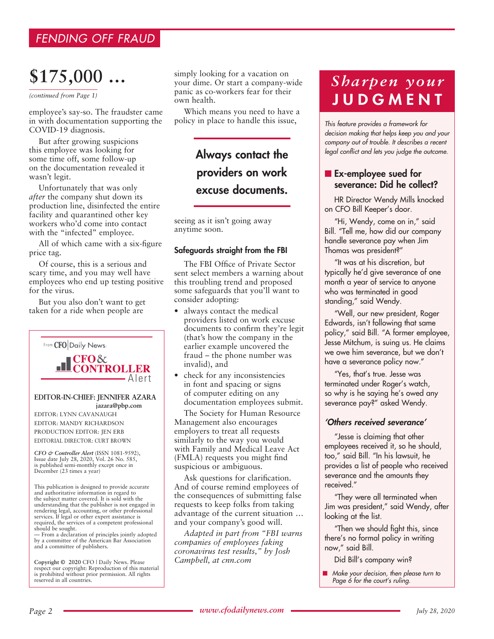### *FENDING OFF FRAUD*

# **\$175,000 …**

*(continued from Page 1)*

employee's say-so. The fraudster came in with documentation supporting the COVID-19 diagnosis.

But after growing suspicions this employee was looking for some time off, some follow-up on the documentation revealed it wasn't legit.

Unfortunately that was only *after* the company shut down its production line, disinfected the entire facility and quarantined other key workers who'd come into contact with the "infected" employee.

All of which came with a six-figure price tag.

Of course, this is a serious and scary time, and you may well have employees who end up testing positive for the virus.

But you also don't want to get taken for a ride when people are



*CFO & Controller Alert* (ISSN 1081-9592), Issue date July 28, 2020, Vol. 26 No. 585, is published semi-monthly except once in December (23 times a year)

This publication is designed to provide accurate and authoritative information in regard to the subject matter covered. It is sold with the understanding that the publisher is not engaged in rendering legal, accounting, or other professional services. If legal or other expert assistance is required, the services of a competent professional should be sought.

— From a declaration of principles jointly adopted by a committee of the American Bar Association and a committee of publishers.

**Copyright © 2020** CFO | Daily News. Please respect our copyright: Reproduction of this material is prohibited without prior permission. All rights reserved in all countries.

simply looking for a vacation on your dime. Or start a company-wide panic as co-workers fear for their own health.

Which means you need to have a policy in place to handle this issue,

## Always contact the providers on work excuse documents.

seeing as it isn't going away anytime soon.

#### Safeguards straight from the FBI

The FBI Office of Private Sector sent select members a warning about this troubling trend and proposed some safeguards that you'll want to consider adopting:

- always contact the medical providers listed on work excuse documents to confirm they're legit (that's how the company in the earlier example uncovered the fraud – the phone number was invalid), and
- check for any inconsistencies in font and spacing or signs of computer editing on any documentation employees submit.

The Society for Human Resource Management also encourages employers to treat all requests similarly to the way you would with Family and Medical Leave Act (FMLA) requests you might find suspicious or ambiguous.

Ask questions for clarification. And of course remind employees of the consequences of submitting false requests to keep folks from taking advantage of the current situation … and your company's good will.

*Adapted in part from "FBI warns companies of employees faking coronavirus test results," by Josh Campbell, at cnn.com*

## *Sharpen your*  **JUDGMENT**

*This feature provides a framework for decision making that helps keep you and your company out of trouble. It describes a recent legal conflict and lets you judge the outcome.*

### **n** Ex-employee sued for severance: Did he collect?

HR Director Wendy Mills knocked on CFO Bill Keeper's door.

"Hi, Wendy, come on in," said Bill. "Tell me, how did our company handle severance pay when Jim Thomas was president?"

"It was at his discretion, but typically he'd give severance of one month a year of service to anyone who was terminated in good standing," said Wendy.

"Well, our new president, Roger Edwards, isn't following that same policy," said Bill. "A former employee, Jesse Mitchum, is suing us. He claims we owe him severance, but we don't have a severance policy now."

"Yes, that's true. Jesse was terminated under Roger's watch, so why is he saying he's owed any severance pay?" asked Wendy.

### *'Others received severance'*

"Jesse is claiming that other employees received it, so he should, too," said Bill. "In his lawsuit, he provides a list of people who received severance and the amounts they received."

"They were all terminated when Jim was president," said Wendy, after looking at the list.

"Then we should fight this, since there's no formal policy in writing now," said Bill.

Did Bill's company win?

■ Make your decision, then please turn to *Page 6 for the court's ruling.*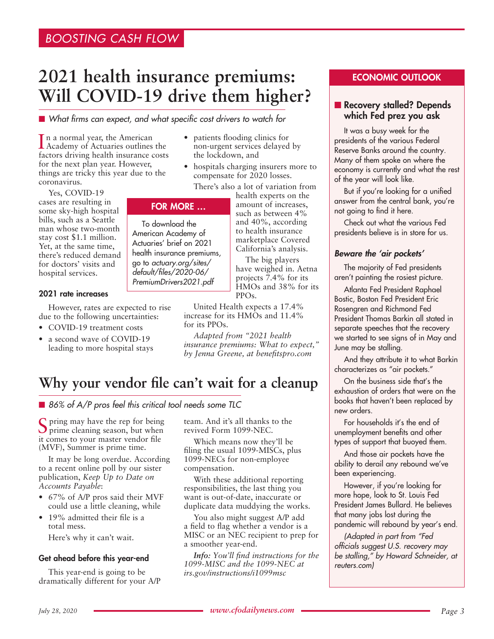## **2021 health insurance premiums: Will COVID-19 drive them higher?**

■ What firms can expect, and what specific cost drivers to watch for

In a normal year, the American<br>Academy of Actuaries outlines the n a normal year, the American factors driving health insurance costs for the next plan year. However, things are tricky this year due to the coronavirus.

Yes, COVID-19 cases are resulting in some sky-high hospital bills, such as a Seattle man whose two-month stay cost \$1.1 million. Yet, at the same time, there's reduced demand for doctors' visits and hospital services.

### 2021 rate increases

However, rates are expected to rise due to the following uncertainties:

- COVID-19 treatment costs
- a second wave of COVID-19 leading to more hospital stays
- patients flooding clinics for non-urgent services delayed by the lockdown, and
- hospitals charging insurers more to compensate for 2020 losses.

There's also a lot of variation from

### FOR MORE …

To download the American Academy of Actuaries' brief on 2021 health insurance premiums, go to *actuary.org/sites/ default/files/2020-06/ PremiumDrivers2021.pdf*

health experts on the amount of increases, such as between 4% and 40%, according to health insurance marketplace Covered California's analysis.

The big players have weighed in. Aetna projects 7.4% for its HMOs and 38% for its  $PPOs.$ 

United Health expects a 17.4% increase for its HMOs and 11.4% for its PPOs.

*Adapted from "2021 health insurance premiums: What to expect," by Jenna Greene, at benefitspro.com*

## **Why your vendor file can't wait for a cleanup**

■ 86% of A/P pros feel this critical tool needs some TLC

Spring may have the rep for being prime cleaning season, but when it comes to your master vendor file (MVF), Summer is prime time.

It may be long overdue. According to a recent online poll by our sister publication, *Keep Up to Date on Accounts Payable*:

- 67% of A/P pros said their MVF could use a little cleaning, while
- 19% admitted their file is a total mess.

Here's why it can't wait.

### Get ahead before this year-end

This year-end is going to be dramatically different for your A/P team. And it's all thanks to the revived Form 1099-NEC.

Which means now they'll be filing the usual 1099-MISCs, plus 1099-NECs for non-employee compensation.

With these additional reporting responsibilities, the last thing you want is out-of-date, inaccurate or duplicate data muddying the works.

You also might suggest A/P add a field to flag whether a vendor is a MISC or an NEC recipient to prep for a smoother year-end.

*Info: You'll find instructions for the 1099-MISC and the 1099-NEC at irs.gov/instructions/i1099msc*

### ECONOMIC OUTLOOK

### Recovery stalled? Depends which Fed prez you ask

It was a busy week for the presidents of the various Federal Reserve Banks around the country. Many of them spoke on where the economy is currently and what the rest of the year will look like.

But if you're looking for a unified answer from the central bank, you're not going to find it here.

Check out what the various Fed presidents believe is in store for us.

### *Beware the 'air pockets'*

The majority of Fed presidents aren't painting the rosiest picture.

Atlanta Fed President Raphael Bostic, Boston Fed President Eric Rosengren and Richmond Fed President Thomas Barkin all stated in separate speeches that the recovery we started to see signs of in May and June may be stalling.

And they attribute it to what Barkin characterizes as "air pockets."

On the business side that's the exhaustion of orders that were on the books that haven't been replaced by new orders.

For households it's the end of unemployment benefits and other types of support that buoyed them.

And those air pockets have the ability to derail any rebound we've been experiencing.

However, if you're looking for more hope, look to St. Louis Fed President James Bullard. He believes that many jobs lost during the pandemic will rebound by year's end.

*(Adapted in part from "Fed officials suggest U.S. recovery may be stalling," by Howard Schneider, at reuters.com)*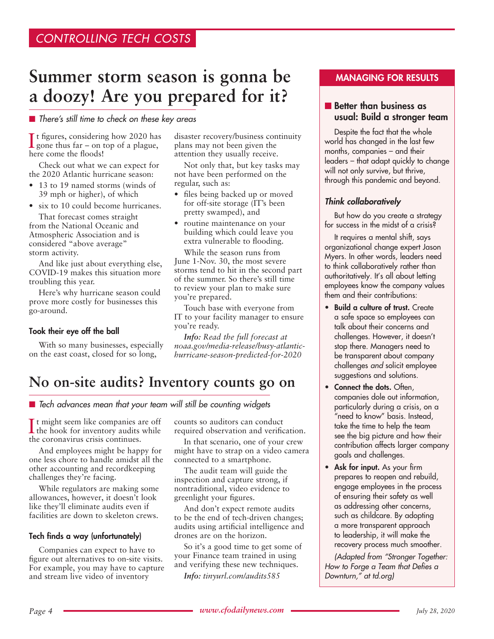## **Summer storm season is gonna be a doozy! Are you prepared for it?**

### ■ *There's still time to check on these key areas*

It figures, considering how 2020 has<br>gone thus far – on top of a plague, t figures, considering how 2020 has here come the floods!

Check out what we can expect for the 2020 Atlantic hurricane season:

- 13 to 19 named storms (winds of 39 mph or higher), of which
- six to 10 could become hurricanes.

That forecast comes straight from the National Oceanic and Atmospheric Association and is considered "above average" storm activity.

And like just about everything else, COVID-19 makes this situation more troubling this year.

Here's why hurricane season could prove more costly for businesses this go-around.

### Took their eye off the ball

With so many businesses, especially on the east coast, closed for so long,

disaster recovery/business continuity plans may not been given the attention they usually receive.

Not only that, but key tasks may not have been performed on the regular, such as:

- files being backed up or moved for off-site storage (IT's been pretty swamped), and
- routine maintenance on your building which could leave you extra vulnerable to flooding.

While the season runs from June 1-Nov. 30, the most severe storms tend to hit in the second part of the summer. So there's still time to review your plan to make sure you're prepared.

Touch base with everyone from IT to your facility manager to ensure you're ready.

*Info: Read the full forecast at noaa.gov/media-release/busy-atlantichurricane-season-predicted-for-2020*

## **No on-site audits? Inventory counts go on**

■ *Tech advances mean that your team will still be counting widgets* 

It might seem like companies are off<br>the hook for inventory audits while the hook for inventory audits while the coronavirus crisis continues.

And employees might be happy for one less chore to handle amidst all the other accounting and recordkeeping challenges they're facing.

While regulators are making some allowances, however, it doesn't look like they'll eliminate audits even if facilities are down to skeleton crews.

### Tech finds a way (unfortunately)

Companies can expect to have to figure out alternatives to on-site visits. For example, you may have to capture and stream live video of inventory

counts so auditors can conduct required observation and verification.

In that scenario, one of your crew might have to strap on a video camera connected to a smartphone.

The audit team will guide the inspection and capture strong, if nontraditional, video evidence to greenlight your figures.

And don't expect remote audits to be the end of tech-driven changes; audits using artificial intelligence and drones are on the horizon.

So it's a good time to get some of your Finance team trained in using and verifying these new techniques.

*Info: tinyurl.com/audits585*

### MANAGING FOR RESULTS

### $\blacksquare$  Better than business as usual: Build a stronger team

Despite the fact that the whole world has changed in the last few months, companies – and their leaders – that adapt quickly to change will not only survive, but thrive, through this pandemic and beyond.

### *Think collaboratively*

But how do you create a strategy for success in the midst of a crisis?

It requires a mental shift, says organizational change expert Jason Myers. In other words, leaders need to think collaboratively rather than authoritatively. It's all about letting employees know the company values them and their contributions:

- Build a culture of trust. Create a safe space so employees can talk about their concerns and challenges. However, it doesn't stop there. Managers need to be transparent about company challenges *and* solicit employee suggestions and solutions.
- Connect the dots. Often, companies dole out information, particularly during a crisis, on a "need to know" basis. Instead, take the time to help the team see the big picture and how their contribution affects larger company goals and challenges.
- Ask for input. As your firm prepares to reopen and rebuild, engage employees in the process of ensuring their safety as well as addressing other concerns, such as childcare. By adopting a more transparent approach to leadership, it will make the recovery process much smoother.

*(Adapted from "Stronger Together: How to Forge a Team that Defies a Downturn," at td.org)*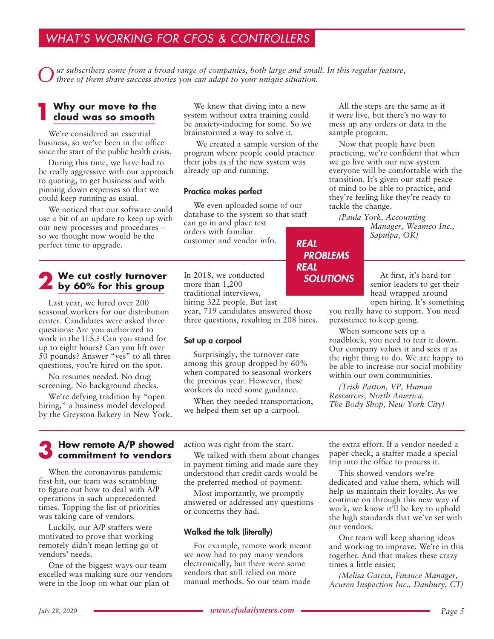### *WHAT'S WORKING FOR CFOS & CONTROLLERS*

*Our subscribers come from a broad range of companies, both large and small. In this regular feature, three of them share success stories you can adapt to your unique situation.*

### **1 Why our move to the cloud was so smooth**

We're considered an essential business, so we've been in the office since the start of the public health crisis.

During this time, we have had to be really aggressive with our approach to quoting, to get business and with pinning down expenses so that we could keep running as usual.

We noticed that our software could use a bit of an update to keep up with our new processes and procedures – so we thought now would be the perfect time to upgrade.

# **2 We cut costly turnover by 60% for this group**

Last year, we hired over 200 seasonal workers for our distribution center. Candidates were asked three questions: Are you authorized to work in the U.S.? Can you stand for up to eight hours? Can you lift over 50 pounds? Answer "yes" to all three questions, you're hired on the spot.

No resumes needed. No drug screening. No background checks.

We're defying tradition by "open hiring," a business model developed by the Greyston Bakery in New York.

We knew that diving into a new system without extra training could be anxiety-inducing for some. So we brainstormed a way to solve it.

 We created a sample version of the program where people could practice their jobs as if the new system was already up-and-running.

### Practice makes perfect

We even uploaded some of our database to the system so that staff can go in and place test orders with familiar customer and vendor info. *REAL*

In 2018, we conducted more than 1,200 traditional interviews, hiring 322 people. But last year, 719 candidates answered those three questions, resulting in 208 hires.

### Set up a carpool

Surprisingly, the turnover rate among this group dropped by 60% when compared to seasonal workers the previous year. However, these workers do need some guidance.

When they needed transportation, we helped them set up a carpool.

All the steps are the same as if it were live, but there's no way to mess up any orders or data in the sample program.

Now that people have been practicing, we're confident that when we go live with our new system everyone will be comfortable with the transition. It's given our staff peace of mind to be able to practice, and they're feeling like they're ready to tackle the change.

*(Paula York, Accounting* 

*Manager, Weamco Inc., Sapulpa, OK)*

*PROBLEMS REAL SOLUTIONS*

At first, it's hard for senior leaders to get their head wrapped around open hiring. It's something

you really have to support. You need persistence to keep going.

When someone sets up a roadblock, you need to tear it down. Our company values it and sees it as the right thing to do. We are happy to be able to increase our social mobility within our own communities.

*(Trish Patton, VP, Human Resources, North America, The Body Shop, New York City)*

# **3 How remote A/P showed commitment to vendors**

When the coronavirus pandemic first hit, our team was scrambling to figure out how to deal with A/P operations in such unprecedented times. Topping the list of priorities was taking care of vendors.

Luckily, our A/P staffers were motivated to prove that working remotely didn't mean letting go of vendors' needs.

One of the biggest ways our team excelled was making sure our vendors were in the loop on what our plan of

action was right from the start.

We talked with them about changes in payment timing and made sure they understood that credit cards would be the preferred method of payment.

Most importantly, we promptly answered or addressed any questions or concerns they had.

### Walked the talk (literally)

For example, remote work meant we now had to pay many vendors electronically, but there were some vendors that still relied on more manual methods. So our team made

the extra effort. If a vendor needed a paper check, a staffer made a special trip into the office to process it.

This showed vendors we're dedicated and value them, which will help us maintain their loyalty. As we continue on through this new way of work, we know it'll be key to uphold the high standards that we've set with our vendors.

Our team will keep sharing ideas and working to improve. We're in this together. And that makes these crazy times a little easier.

*(Melisa Garcia, Finance Manager, Acuren Inspection Inc., Danbury, CT)*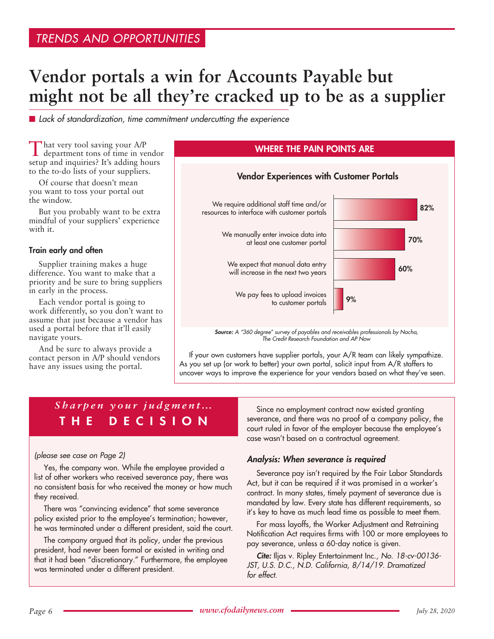# **Vendor portals a win for Accounts Payable but might not be all they're cracked up to be as a supplier**

■ *Lack of standardization, time commitment undercutting the experience* 

That very tool saving your A/P department tons of time in vendor setup and inquiries? It's adding hours to the to-do lists of your suppliers.

Of course that doesn't mean you want to toss your portal out the window.

But you probably want to be extra mindful of your suppliers' experience with it.

#### Train early and often

Supplier training makes a huge difference. You want to make that a priority and be sure to bring suppliers in early in the process.

Each vendor portal is going to work differently, so you don't want to assume that just because a vendor has used a portal before that it'll easily navigate yours.

And be sure to always provide a contact person in A/P should vendors have any issues using the portal.



If your own customers have supplier portals, your A/R team can likely sympathize. As you set up (or work to better) your own portal, solicit input from A/R staffers to uncover ways to improve the experience for your vendors based on what they've seen.

### *Sharpen your judgment…* THE DECISION

#### *(please see case on Page 2)*

Yes, the company won. While the employee provided a list of other workers who received severance pay, there was no consistent basis for who received the money or how much they received.

There was "convincing evidence" that some severance policy existed prior to the employee's termination; however, he was terminated under a different president, said the court.

The company argued that its policy, under the previous president, had never been formal or existed in writing and that it had been "discretionary." Furthermore, the employee was terminated under a different president.

Since no employment contract now existed granting severance, and there was no proof of a company policy, the court ruled in favor of the employer because the employee's case wasn't based on a contractual agreement.

### *Analysis: When severance is required*

Severance pay isn't required by the Fair Labor Standards Act, but it can be required if it was promised in a worker's contract. In many states, timely payment of severance due is mandated by law. Every state has different requirements, so it's key to have as much lead time as possible to meet them.

For mass layoffs, the Worker Adjustment and Retraining Notification Act requires firms with 100 or more employees to pay severance, unless a 60-day notice is given.

*Cite:* Iljas v. Ripley Entertainment Inc.*, No. 18-cv-00136- JST, U.S. D.C., N.D. California, 8/14/19. Dramatized for effect.*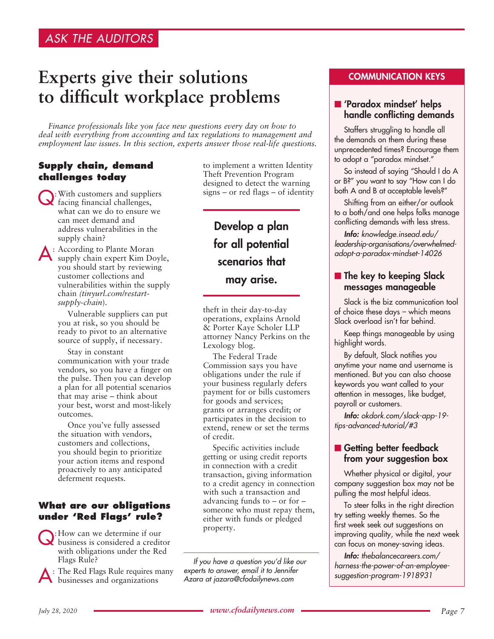## **Experts give their solutions to difficult workplace problems**

*Finance professionals like you face new questions every day on how to deal with everything from accounting and tax regulations to management and employment law issues. In this section, experts answer those real-life questions.*

### **Supply chain, demand challenges today**

Q:With customers and suppliers facing financial challenges, what can we do to ensure we can meet demand and address vulnerabilities in the supply chain?

A: According to Plante Moran supply chain expert Kim Doyle, you should start by reviewing customer collections and vulnerabilities within the supply chain *(tinyurl.com/restartsupply-chain*).

> Vulnerable suppliers can put you at risk, so you should be ready to pivot to an alternative source of supply, if necessary.

Stay in constant communication with your trade vendors, so you have a finger on the pulse. Then you can develop a plan for all potential scenarios that may arise – think about your best, worst and most-likely outcomes.

Once you've fully assessed the situation with vendors, customers and collections, you should begin to prioritize your action items and respond proactively to any anticipated deferment requests.

### **What are our obligations under 'Red Flags' rule?**

Q:How can we determine if our business is considered a creditor with obligations under the Red Flags Rule?

: The Red Flags Rule requires many businesses and organizations

to implement a written Identity Theft Prevention Program designed to detect the warning signs – or red flags – of identity

Develop a plan for all potential scenarios that may arise.

theft in their day-to-day operations, explains Arnold & Porter Kaye Scholer LLP attorney Nancy Perkins on the Lexology blog.

The Federal Trade Commission says you have obligations under the rule if your business regularly defers payment for or bills customers for goods and services; grants or arranges credit; or participates in the decision to extend, renew or set the terms of credit.

Specific activities include getting or using credit reports in connection with a credit transaction, giving information to a credit agency in connection with such a transaction and advancing funds to – or for – someone who must repay them, either with funds or pledged property.

*If you have a question you'd like our experts to answer, email it to Jennifer Azara at jazara@cfodailynews.com*

### COMMUNICATION KEYS

### ■ 'Paradox mindset' helps handle conflicting demands

Staffers struggling to handle all the demands on them during these unprecedented times? Encourage them to adopt a "paradox mindset."

So instead of saying "Should I do A or B?" you want to say "How can I do both A and B at acceptable levels?"

Shifting from an either/or outlook to a both/and one helps folks manage conflicting demands with less stress.

*Info: knowledge.insead.edu/ leadership-organisations/overwhelmedadopt-a-paradox-mindset-14026*

### $\blacksquare$  The key to keeping Slack messages manageable

Slack is the biz communication tool of choice these days – which means Slack overload isn't far behind.

Keep things manageable by using highlight words.

By default, Slack notifies you anytime your name and username is mentioned. But you can also choose keywords you want called to your attention in messages, like budget, payroll or customers.

*Info: okdork.com/slack-app-19 tips-advanced-tutorial/#3*

### ■ Getting better feedback from your suggestion box

Whether physical or digital, your company suggestion box may not be pulling the most helpful ideas.

To steer folks in the right direction try setting weekly themes. So the first week seek out suggestions on improving quality, while the next week can focus on money-saving ideas.

*Info: thebalancecareers.com/ harness-the-power-of-an-employeesuggestion-program-1918931*